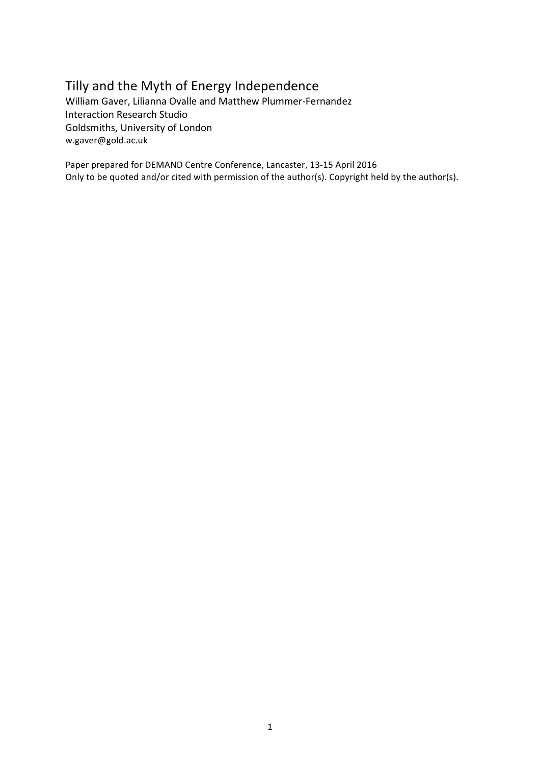## Tilly and the Myth of Energy Independence

William Gaver, Lilianna Ovalle and Matthew Plummer-Fernandez Interaction Research Studio Goldsmiths, University of London w.gaver@gold.ac.uk

Paper prepared for DEMAND Centre Conference, Lancaster, 13-15 April 2016 Only to be quoted and/or cited with permission of the author(s). Copyright held by the author(s).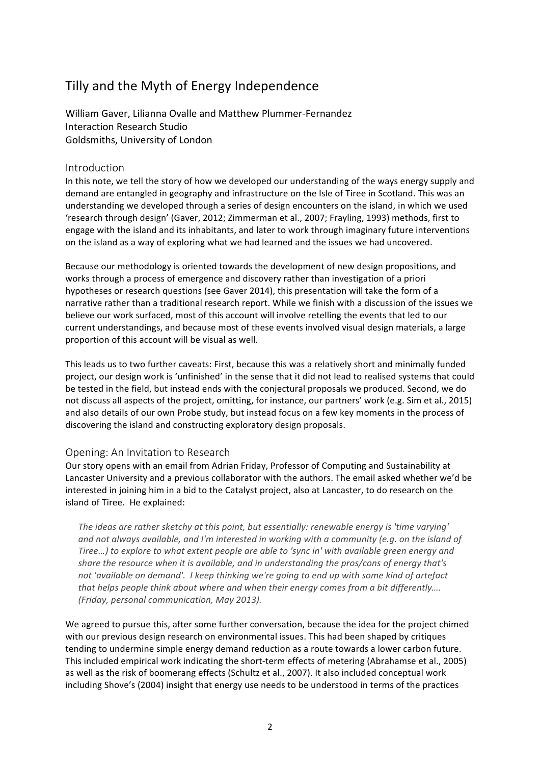# Tilly and the Myth of Energy Independence

William Gaver, Lilianna Ovalle and Matthew Plummer-Fernandez Interaction Research Studio Goldsmiths, University of London

## Introduction

In this note, we tell the story of how we developed our understanding of the ways energy supply and demand are entangled in geography and infrastructure on the Isle of Tiree in Scotland. This was an understanding we developed through a series of design encounters on the island, in which we used 'research through design' (Gaver, 2012; Zimmerman et al., 2007; Frayling, 1993) methods, first to engage with the island and its inhabitants, and later to work through imaginary future interventions on the island as a way of exploring what we had learned and the issues we had uncovered.

Because our methodology is oriented towards the development of new design propositions, and works through a process of emergence and discovery rather than investigation of a priori hypotheses or research questions (see Gaver 2014), this presentation will take the form of a narrative rather than a traditional research report. While we finish with a discussion of the issues we believe our work surfaced, most of this account will involve retelling the events that led to our current understandings, and because most of these events involved visual design materials, a large proportion of this account will be visual as well.

This leads us to two further caveats: First, because this was a relatively short and minimally funded project, our design work is 'unfinished' in the sense that it did not lead to realised systems that could be tested in the field, but instead ends with the conjectural proposals we produced. Second, we do not discuss all aspects of the project, omitting, for instance, our partners' work (e.g. Sim et al., 2015) and also details of our own Probe study, but instead focus on a few key moments in the process of discovering the island and constructing exploratory design proposals.

## Opening: An Invitation to Research

Our story opens with an email from Adrian Friday, Professor of Computing and Sustainability at Lancaster University and a previous collaborator with the authors. The email asked whether we'd be interested in joining him in a bid to the Catalyst project, also at Lancaster, to do research on the island of Tiree. He explained:

The *ideas* are rather sketchy at this point, but essentially: renewable energy is 'time varying' and not always available, and I'm interested in working with a community (e.g. on the island of *Tiree...*) to explore to what extent people are able to 'sync in' with available green energy and share the resource when it is available, and in understanding the pros/cons of energy that's not 'available on demand'. I keep thinking we're going to end up with some kind of artefact *that helps people think about where and when their energy comes from a bit differently.... (Friday, personal communication, May 2013).*

We agreed to pursue this, after some further conversation, because the idea for the project chimed with our previous design research on environmental issues. This had been shaped by critiques tending to undermine simple energy demand reduction as a route towards a lower carbon future. This included empirical work indicating the short-term effects of metering (Abrahamse et al., 2005) as well as the risk of boomerang effects (Schultz et al., 2007). It also included conceptual work including Shove's (2004) insight that energy use needs to be understood in terms of the practices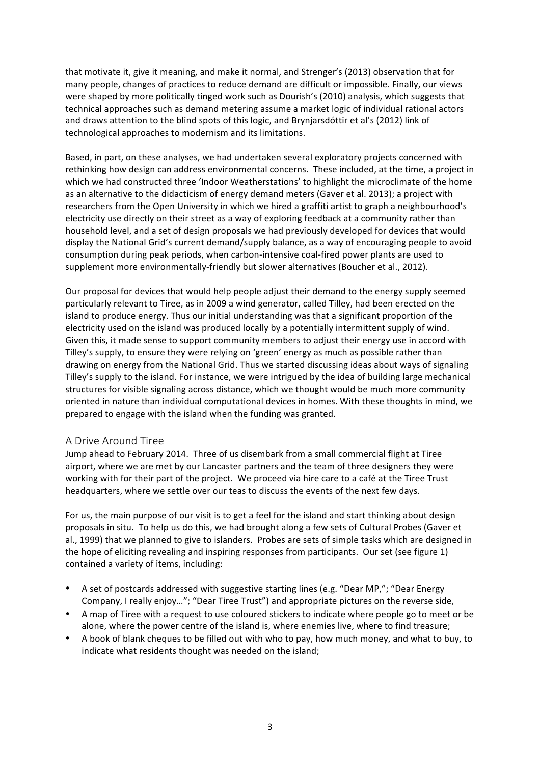that motivate it, give it meaning, and make it normal, and Strenger's (2013) observation that for many people, changes of practices to reduce demand are difficult or impossible. Finally, our views were shaped by more politically tinged work such as Dourish's (2010) analysis, which suggests that technical approaches such as demand metering assume a market logic of individual rational actors and draws attention to the blind spots of this logic, and Brynjarsdóttir et al's (2012) link of technological approaches to modernism and its limitations.

Based, in part, on these analyses, we had undertaken several exploratory projects concerned with rethinking how design can address environmental concerns. These included, at the time, a project in which we had constructed three 'Indoor Weatherstations' to highlight the microclimate of the home as an alternative to the didacticism of energy demand meters (Gaver et al. 2013); a project with researchers from the Open University in which we hired a graffiti artist to graph a neighbourhood's electricity use directly on their street as a way of exploring feedback at a community rather than household level, and a set of design proposals we had previously developed for devices that would display the National Grid's current demand/supply balance, as a way of encouraging people to avoid consumption during peak periods, when carbon-intensive coal-fired power plants are used to supplement more environmentally-friendly but slower alternatives (Boucher et al., 2012).

Our proposal for devices that would help people adjust their demand to the energy supply seemed particularly relevant to Tiree, as in 2009 a wind generator, called Tilley, had been erected on the island to produce energy. Thus our initial understanding was that a significant proportion of the electricity used on the island was produced locally by a potentially intermittent supply of wind. Given this, it made sense to support community members to adjust their energy use in accord with Tilley's supply, to ensure they were relying on 'green' energy as much as possible rather than drawing on energy from the National Grid. Thus we started discussing ideas about ways of signaling Tilley's supply to the island. For instance, we were intrigued by the idea of building large mechanical structures for visible signaling across distance, which we thought would be much more community oriented in nature than individual computational devices in homes. With these thoughts in mind, we prepared to engage with the island when the funding was granted.

## A Drive Around Tiree

Jump ahead to February 2014. Three of us disembark from a small commercial flight at Tiree airport, where we are met by our Lancaster partners and the team of three designers they were working with for their part of the project. We proceed via hire care to a café at the Tiree Trust headquarters, where we settle over our teas to discuss the events of the next few days.

For us, the main purpose of our visit is to get a feel for the island and start thinking about design proposals in situ. To help us do this, we had brought along a few sets of Cultural Probes (Gaver et al., 1999) that we planned to give to islanders. Probes are sets of simple tasks which are designed in the hope of eliciting revealing and inspiring responses from participants. Our set (see figure 1) contained a variety of items, including:

- A set of postcards addressed with suggestive starting lines (e.g. "Dear MP,"; "Dear Energy Company, I really enjoy..."; "Dear Tiree Trust") and appropriate pictures on the reverse side,
- A map of Tiree with a request to use coloured stickers to indicate where people go to meet or be alone, where the power centre of the island is, where enemies live, where to find treasure;
- A book of blank cheques to be filled out with who to pay, how much money, and what to buy, to indicate what residents thought was needed on the island;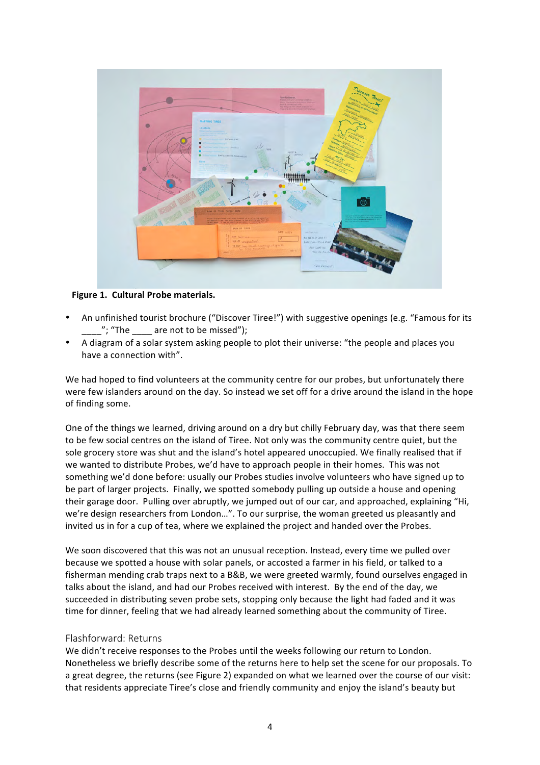

**Figure 1. Cultural Probe materials.** 

- An unfinished tourist brochure ("Discover Tiree!") with suggestive openings (e.g. "Famous for its "; "The  $\qquad$  are not to be missed");
- A diagram of a solar system asking people to plot their universe: "the people and places you have a connection with".

We had hoped to find volunteers at the community centre for our probes, but unfortunately there were few islanders around on the day. So instead we set off for a drive around the island in the hope of finding some.

One of the things we learned, driving around on a dry but chilly February day, was that there seem to be few social centres on the island of Tiree. Not only was the community centre quiet, but the sole grocery store was shut and the island's hotel appeared unoccupied. We finally realised that if we wanted to distribute Probes, we'd have to approach people in their homes. This was not something we'd done before: usually our Probes studies involve volunteers who have signed up to be part of larger projects. Finally, we spotted somebody pulling up outside a house and opening their garage door. Pulling over abruptly, we jumped out of our car, and approached, explaining "Hi, we're design researchers from London...". To our surprise, the woman greeted us pleasantly and invited us in for a cup of tea, where we explained the project and handed over the Probes.

We soon discovered that this was not an unusual reception. Instead, every time we pulled over because we spotted a house with solar panels, or accosted a farmer in his field, or talked to a fisherman mending crab traps next to a B&B, we were greeted warmly, found ourselves engaged in talks about the island, and had our Probes received with interest. By the end of the day, we succeeded in distributing seven probe sets, stopping only because the light had faded and it was time for dinner, feeling that we had already learned something about the community of Tiree.

## Flashforward: Returns

We didn't receive responses to the Probes until the weeks following our return to London. Nonetheless we briefly describe some of the returns here to help set the scene for our proposals. To a great degree, the returns (see Figure 2) expanded on what we learned over the course of our visit: that residents appreciate Tiree's close and friendly community and enjoy the island's beauty but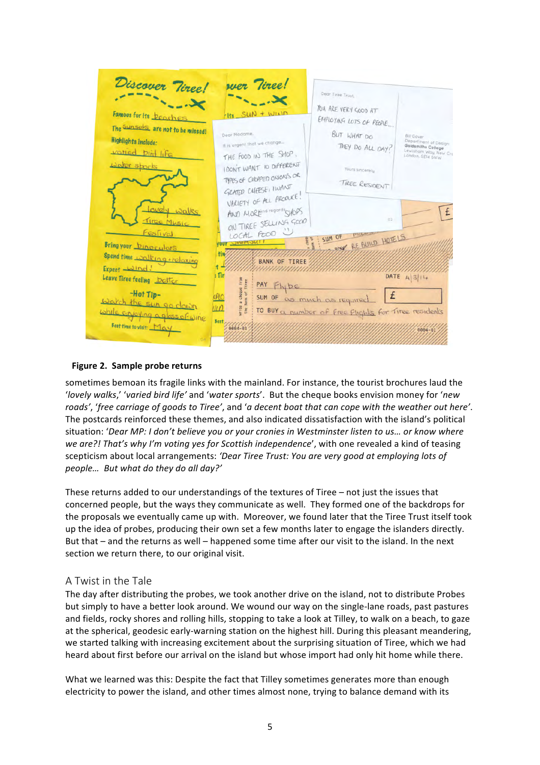| Discover Viree!<br>Famous for its <b>DEOCHES</b>                                                                                                                                      | wer Tiree!<br>$\sim$ $\sim$ $\sim$<br>Its SUN + WIND                                                                                                    | Dear Tiree Trust.<br>YOU ARE VERY GOOD AT                                                         |                                                                                                              |
|---------------------------------------------------------------------------------------------------------------------------------------------------------------------------------------|---------------------------------------------------------------------------------------------------------------------------------------------------------|---------------------------------------------------------------------------------------------------|--------------------------------------------------------------------------------------------------------------|
| The Sunsels are not to be missed!<br>Highlights include:<br>vatied bin life<br>water sports                                                                                           | Dear Madame.<br>It is urgent that we change<br>THE FOOD IN THE SHOP.<br>I DON'T WANT IO DIFFERENT<br>TYPES OF CHOPPED ONIONS OR<br>GRATED CUEESE, IWANT | EMPLOYING LOTS OF PEOPLE<br>BUT WHAT DO<br>THEY DO ALL DAY?<br>Yours sincerely,<br>TIREE RESIDENT | <b>Bill Gaver</b><br>Department of Design<br>Goldsmiths College<br>Lewisham Way, New Cro<br>London, SE14 6NW |
| OVEN<br>Walks<br>Tiree Music<br>Festival<br>Bring your <u>Dinoculars</u>                                                                                                              | VARIETY OF ALL PRODUCE.<br>AND MOREIN regards CVOPS<br>ON TIREE SELLING GOOD<br>LOCAL FOOD<br><b>YOUT OVVIMOU!</b><br>tin                               | 02<br><b>MILLION</b><br>SUM OF<br>ANY RE BUILD HOTELS                                             | £                                                                                                            |
| Spend time walking + relaxing<br>Expect Wind!<br>Leave Tiree feeling <u>better</u><br>-Hot Tip-<br>Watch the sun go down<br>while enjoying a glass of wine<br>Best time to visit: May | <b>BANK OF TIREE</b><br>: Tir<br><b>Irom</b><br>PAY Flybe<br>a cheque<br>Bank of 11<br>PIO<br>rite<br>Une 3<br>$\overline{u}$<br>Best,<br>$\frac{1}{1}$ | SUM OF as much as required<br>TO BUY a number of Free Flights for Tires residents                 | DATE $4 3 14$<br>$0004 - 01$                                                                                 |
|                                                                                                                                                                                       |                                                                                                                                                         |                                                                                                   |                                                                                                              |

## **Figure 2. Sample probe returns**

sometimes bemoan its fragile links with the mainland. For instance, the tourist brochures laud the '*lovely* walks,' 'varied bird life' and 'water sports'. But the cheque books envision money for 'new *roads',* 'free carriage of goods to Tiree', and 'a decent boat that can cope with the weather out here'. The postcards reinforced these themes, and also indicated dissatisfaction with the island's political situation: 'Dear MP: I don't believe you or your cronies in Westminster listen to us... or know where *we are?!* That's why I'm voting yes for Scottish independence', with one revealed a kind of teasing scepticism about local arrangements: 'Dear Tiree Trust: You are very good at employing lots of *people… But what do they do all day?'*

These returns added to our understandings of the textures of Tiree  $-$  not just the issues that concerned people, but the ways they communicate as well. They formed one of the backdrops for the proposals we eventually came up with. Moreover, we found later that the Tiree Trust itself took up the idea of probes, producing their own set a few months later to engage the islanders directly. But that – and the returns as well – happened some time after our visit to the island. In the next section we return there, to our original visit.

## A Twist in the Tale

The day after distributing the probes, we took another drive on the island, not to distribute Probes but simply to have a better look around. We wound our way on the single-lane roads, past pastures and fields, rocky shores and rolling hills, stopping to take a look at Tilley, to walk on a beach, to gaze at the spherical, geodesic early-warning station on the highest hill. During this pleasant meandering, we started talking with increasing excitement about the surprising situation of Tiree, which we had heard about first before our arrival on the island but whose import had only hit home while there.

What we learned was this: Despite the fact that Tilley sometimes generates more than enough electricity to power the island, and other times almost none, trying to balance demand with its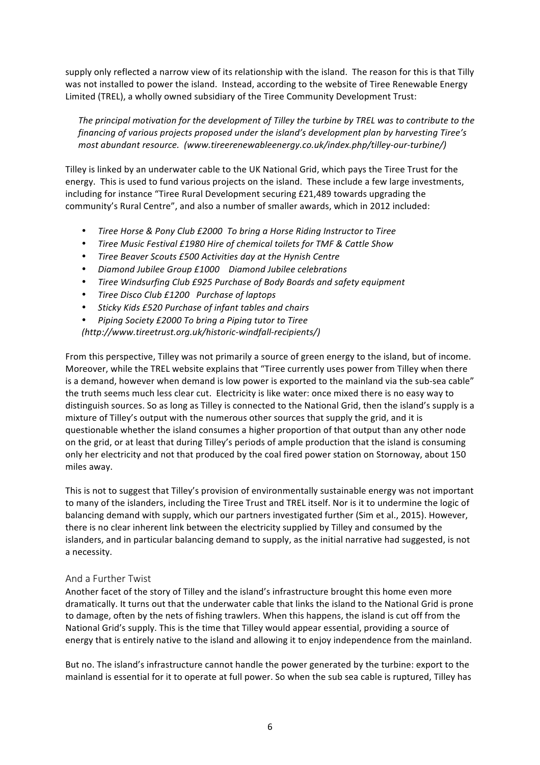supply only reflected a narrow view of its relationship with the island. The reason for this is that Tilly was not installed to power the island. Instead, according to the website of Tiree Renewable Energy Limited (TREL), a wholly owned subsidiary of the Tiree Community Development Trust:

The principal motivation for the development of Tilley the turbine by TREL was to contribute to the *financing* of various projects proposed under the island's development plan by harvesting Tiree's *most abundant resource. (www.tireerenewableenergy.co.uk/index.php/tilley-our-turbine/)*

Tilley is linked by an underwater cable to the UK National Grid, which pays the Tiree Trust for the energy. This is used to fund various projects on the island. These include a few large investments, including for instance "Tiree Rural Development securing  $£21,489$  towards upgrading the community's Rural Centre", and also a number of smaller awards, which in 2012 included:

- Tiree Horse & Pony Club £2000 To bring a Horse Riding Instructor to Tiree
- *Tiree Music Festival £1980 Hire of chemical toilets for TMF & Cattle Show*
- *Tiree Beaver Scouts £500 Activities day at the Hynish Centre*
- *Diamond Jubilee Group £1000 Diamond Jubilee celebrations*
- Tiree Windsurfing Club £925 Purchase of Body Boards and safety equipment
- *Tiree Disco Club £1200 Purchase of laptops*
- *Sticky Kids £520 Purchase of infant tables and chairs*
- Piping Society £2000 To bring a Piping tutor to Tiree *(http://www.tireetrust.org.uk/historic-windfall-recipients/)*

From this perspective. Tilley was not primarily a source of green energy to the island, but of income. Moreover, while the TREL website explains that "Tiree currently uses power from Tilley when there is a demand, however when demand is low power is exported to the mainland via the sub-sea cable" the truth seems much less clear cut. Electricity is like water: once mixed there is no easy way to distinguish sources. So as long as Tilley is connected to the National Grid, then the island's supply is a mixture of Tilley's output with the numerous other sources that supply the grid, and it is questionable whether the island consumes a higher proportion of that output than any other node on the grid, or at least that during Tilley's periods of ample production that the island is consuming only her electricity and not that produced by the coal fired power station on Stornoway, about 150 miles away.

This is not to suggest that Tilley's provision of environmentally sustainable energy was not important to many of the islanders, including the Tiree Trust and TREL itself. Nor is it to undermine the logic of balancing demand with supply, which our partners investigated further (Sim et al., 2015). However, there is no clear inherent link between the electricity supplied by Tilley and consumed by the islanders, and in particular balancing demand to supply, as the initial narrative had suggested, is not a necessity.

## And a Further Twist

Another facet of the story of Tilley and the island's infrastructure brought this home even more dramatically. It turns out that the underwater cable that links the island to the National Grid is prone to damage, often by the nets of fishing trawlers. When this happens, the island is cut off from the National Grid's supply. This is the time that Tilley would appear essential, providing a source of energy that is entirely native to the island and allowing it to enjoy independence from the mainland.

But no. The island's infrastructure cannot handle the power generated by the turbine: export to the mainland is essential for it to operate at full power. So when the sub sea cable is ruptured, Tilley has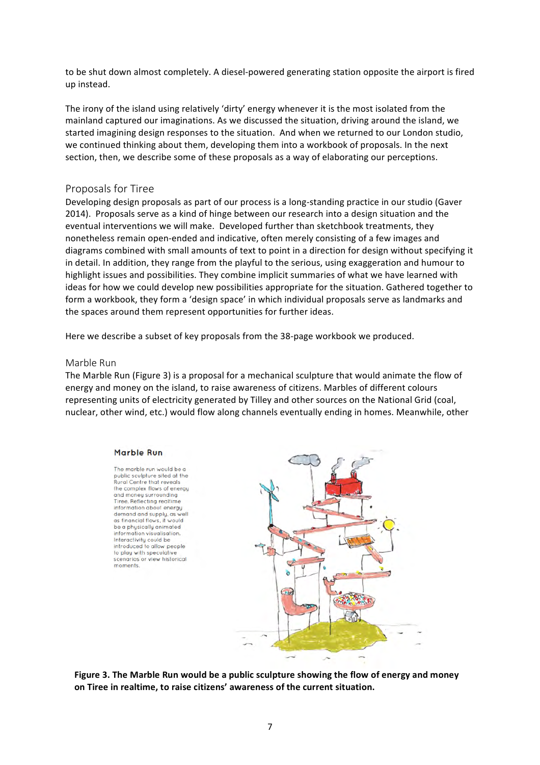to be shut down almost completely. A diesel-powered generating station opposite the airport is fired up instead.

The irony of the island using relatively 'dirty' energy whenever it is the most isolated from the mainland captured our imaginations. As we discussed the situation, driving around the island, we started imagining design responses to the situation. And when we returned to our London studio, we continued thinking about them, developing them into a workbook of proposals. In the next section, then, we describe some of these proposals as a way of elaborating our perceptions.

## Proposals for Tiree

Developing design proposals as part of our process is a long-standing practice in our studio (Gaver 2014). Proposals serve as a kind of hinge between our research into a design situation and the eventual interventions we will make. Developed further than sketchbook treatments, they nonetheless remain open-ended and indicative, often merely consisting of a few images and diagrams combined with small amounts of text to point in a direction for design without specifying it in detail. In addition, they range from the playful to the serious, using exaggeration and humour to highlight issues and possibilities. They combine implicit summaries of what we have learned with ideas for how we could develop new possibilities appropriate for the situation. Gathered together to form a workbook, they form a 'design space' in which individual proposals serve as landmarks and the spaces around them represent opportunities for further ideas.

Here we describe a subset of key proposals from the 38-page workbook we produced.

## Marble Run

The Marble Run (Figure 3) is a proposal for a mechanical sculpture that would animate the flow of energy and money on the island, to raise awareness of citizens. Marbles of different colours representing units of electricity generated by Tilley and other sources on the National Grid (coal, nuclear, other wind, etc.) would flow along channels eventually ending in homes. Meanwhile, other

#### Marble Run

The marble run would be a public sculpture sited at the Rural Centre that reveals the complex flows of energy and money surrounding<br>Tiree. Reflecting realtime information about energy demand and supply, as well as financial flows, if would be a physically animated information visualisation. Interactivity could be introduced to allow people to play with speculative scenarios or view historical momente



Figure 3. The Marble Run would be a public sculpture showing the flow of energy and money on Tiree in realtime, to raise citizens' awareness of the current situation.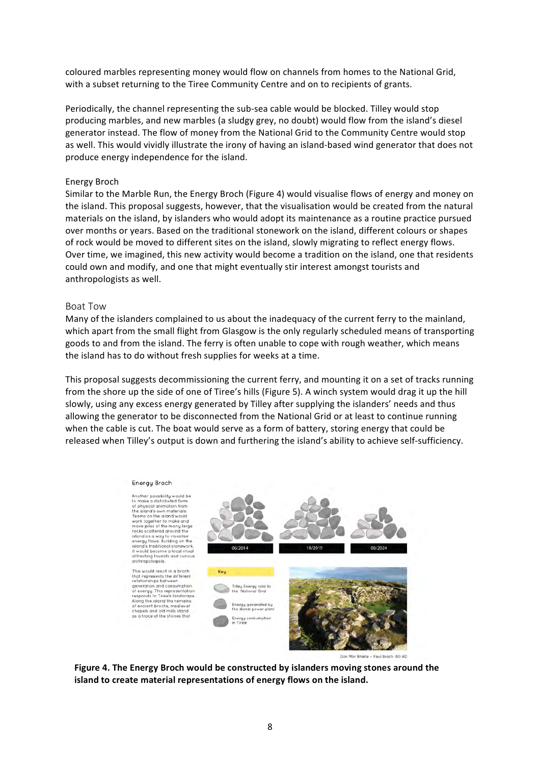coloured marbles representing money would flow on channels from homes to the National Grid, with a subset returning to the Tiree Community Centre and on to recipients of grants.

Periodically, the channel representing the sub-sea cable would be blocked. Tilley would stop producing marbles, and new marbles (a sludgy grey, no doubt) would flow from the island's diesel generator instead. The flow of money from the National Grid to the Community Centre would stop as well. This would vividly illustrate the irony of having an island-based wind generator that does not produce energy independence for the island.

#### Energy Broch

Similar to the Marble Run, the Energy Broch (Figure 4) would visualise flows of energy and money on the island. This proposal suggests, however, that the visualisation would be created from the natural materials on the island, by islanders who would adopt its maintenance as a routine practice pursued over months or years. Based on the traditional stonework on the island, different colours or shapes of rock would be moved to different sites on the island, slowly migrating to reflect energy flows. Over time, we imagined, this new activity would become a tradition on the island, one that residents could own and modify, and one that might eventually stir interest amongst tourists and anthropologists as well.

#### Boat Tow

Many of the islanders complained to us about the inadequacy of the current ferry to the mainland, which apart from the small flight from Glasgow is the only regularly scheduled means of transporting goods to and from the island. The ferry is often unable to cope with rough weather, which means the island has to do without fresh supplies for weeks at a time.

This proposal suggests decommissioning the current ferry, and mounting it on a set of tracks running from the shore up the side of one of Tiree's hills (Figure 5). A winch system would drag it up the hill slowly, using any excess energy generated by Tilley after supplying the islanders' needs and thus allowing the generator to be disconnected from the National Grid or at least to continue running when the cable is cut. The boat would serve as a form of battery, storing energy that could be released when Tilley's output is down and furthering the island's ability to achieve self-sufficiency.



Dùn Mòr Bhalla - Vaul Broch 60 AD

Figure 4. The Energy Broch would be constructed by islanders moving stones around the **island to create material representations of energy flows on the island.**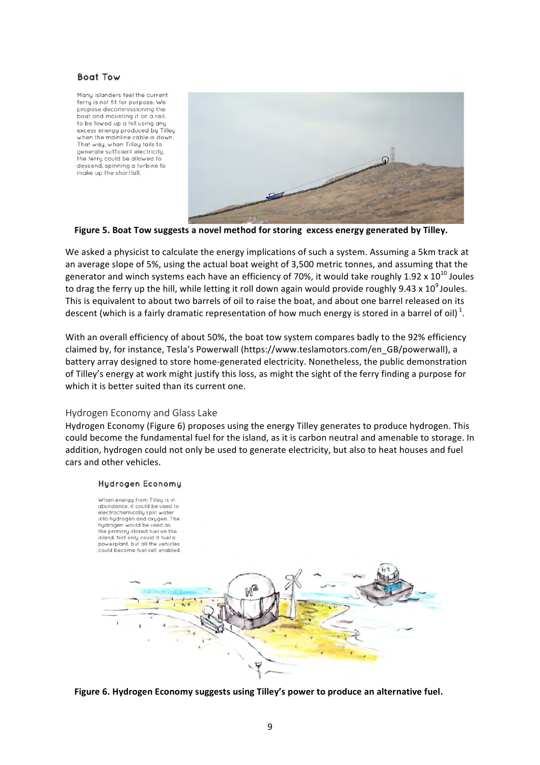#### **Boat Tow**

Many islanders feel the current ferry is not fit for purpose. We propose decommissioning the boat and mounting it on a rail, to be towed up a hill using any excess energy produced by Tilley when the mainline cable is down. That way, when Tilley fails to generate sufficient electricity. the ferry could be allowed to descend, spinning a turbine to make up the shortfall.



Figure 5. Boat Tow suggests a novel method for storing excess energy generated by Tilley.

We asked a physicist to calculate the energy implications of such a system. Assuming a 5km track at an average slope of 5%, using the actual boat weight of 3,500 metric tonnes, and assuming that the generator and winch systems each have an efficiency of 70%, it would take roughly 1.92 x  $10^{10}$  Joules to drag the ferry up the hill, while letting it roll down again would provide roughly 9.43 x 10<sup>9</sup> Joules. This is equivalent to about two barrels of oil to raise the boat, and about one barrel released on its descent (which is a fairly dramatic representation of how much energy is stored in a barrel of oil)  $^{1}$ .

With an overall efficiency of about 50%, the boat tow system compares badly to the 92% efficiency claimed by, for instance, Tesla's Powerwall (https://www.teslamotors.com/en\_GB/powerwall), a battery array designed to store home-generated electricity. Nonetheless, the public demonstration of Tilley's energy at work might justify this loss, as might the sight of the ferry finding a purpose for which it is better suited than its current one.

## Hydrogen Economy and Glass Lake

Hydrogen Economy (Figure 6) proposes using the energy Tilley generates to produce hydrogen. This could become the fundamental fuel for the island, as it is carbon neutral and amenable to storage. In addition, hydrogen could not only be used to generate electricity, but also to heat houses and fuel cars and other vehicles.

#### **Hudrogen Economu**



Figure 6. Hydrogen Economy suggests using Tilley's power to produce an alternative fuel.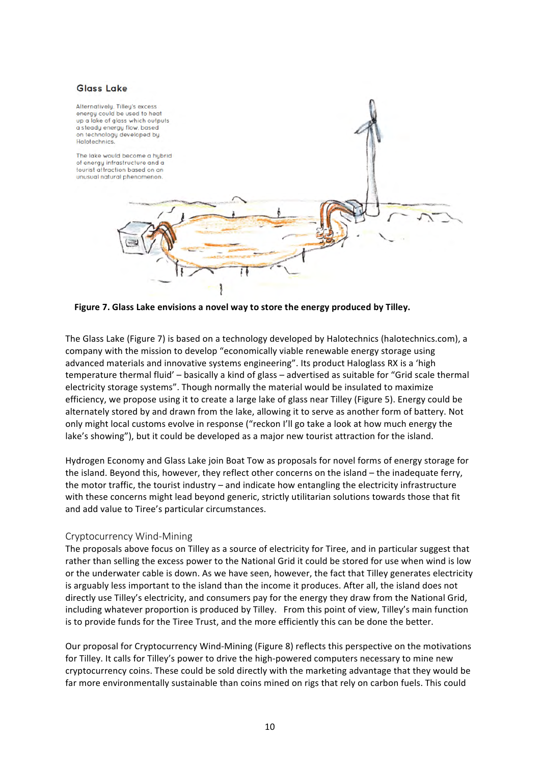## **Glass Lake**



Figure 7. Glass Lake envisions a novel way to store the energy produced by Tilley.

The Glass Lake (Figure 7) is based on a technology developed by Halotechnics (halotechnics.com), a company with the mission to develop "economically viable renewable energy storage using advanced materials and innovative systems engineering". Its product Haloglass RX is a 'high temperature thermal fluid' – basically a kind of glass – advertised as suitable for "Grid scale thermal electricity storage systems". Though normally the material would be insulated to maximize efficiency, we propose using it to create a large lake of glass near Tilley (Figure 5). Energy could be alternately stored by and drawn from the lake, allowing it to serve as another form of battery. Not only might local customs evolve in response ("reckon I'll go take a look at how much energy the lake's showing"), but it could be developed as a major new tourist attraction for the island.

Hydrogen Economy and Glass Lake join Boat Tow as proposals for novel forms of energy storage for the island. Beyond this, however, they reflect other concerns on the island – the inadequate ferry, the motor traffic, the tourist industry – and indicate how entangling the electricity infrastructure with these concerns might lead beyond generic, strictly utilitarian solutions towards those that fit and add value to Tiree's particular circumstances.

## Cryptocurrency Wind-Mining

The proposals above focus on Tilley as a source of electricity for Tiree, and in particular suggest that rather than selling the excess power to the National Grid it could be stored for use when wind is low or the underwater cable is down. As we have seen, however, the fact that Tilley generates electricity is arguably less important to the island than the income it produces. After all, the island does not directly use Tilley's electricity, and consumers pay for the energy they draw from the National Grid, including whatever proportion is produced by Tilley. From this point of view, Tilley's main function is to provide funds for the Tiree Trust, and the more efficiently this can be done the better.

Our proposal for Cryptocurrency Wind-Mining (Figure 8) reflects this perspective on the motivations for Tilley. It calls for Tilley's power to drive the high-powered computers necessary to mine new cryptocurrency coins. These could be sold directly with the marketing advantage that they would be far more environmentally sustainable than coins mined on rigs that rely on carbon fuels. This could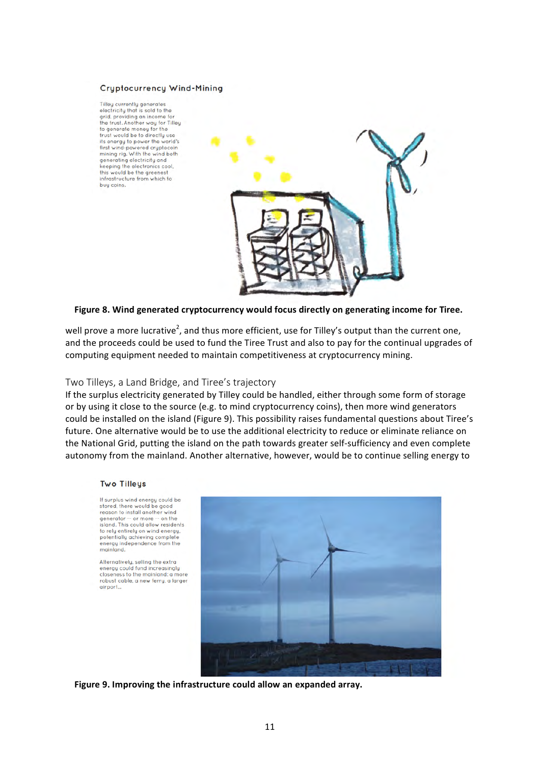#### **Cryptocurrency Wind-Mining**

Tilley currently generates electricity that is sold to the grid, providing an income for<br>the trust. Another way for Tilley to generate money for the<br>trust would be to directly use its energy to power the world's first wind-powered cryptocoin<br>mining rig. With the wind both generating electricity and<br>keeping the electronics cool, this would be the greenest infrastructure from which to buy coins.



### Figure 8. Wind generated cryptocurrency would focus directly on generating income for Tiree.

well prove a more lucrative<sup>2</sup>, and thus more efficient, use for Tilley's output than the current one, and the proceeds could be used to fund the Tiree Trust and also to pay for the continual upgrades of computing equipment needed to maintain competitiveness at cryptocurrency mining.

#### Two Tilleys, a Land Bridge, and Tiree's trajectory

If the surplus electricity generated by Tilley could be handled, either through some form of storage or by using it close to the source (e.g. to mind cryptocurrency coins), then more wind generators could be installed on the island (Figure 9). This possibility raises fundamental questions about Tiree's future. One alternative would be to use the additional electricity to reduce or eliminate reliance on the National Grid, putting the island on the path towards greater self-sufficiency and even complete autonomy from the mainland. Another alternative, however, would be to continue selling energy to

#### **Two Tilleus**

If surplus wind energy could be stored, there would be good reason to install another wind generator -- or more -- on the island. This could allow residents to rely entirely on wind energy. potentially achieving complete<br>energy independence from the mainland.

Alternatively, selling the extra energy could fund increasingly<br>closeness to the mainland: a more robust cable, a new ferry, a larger airport...



Figure 9. Improving the infrastructure could allow an expanded array.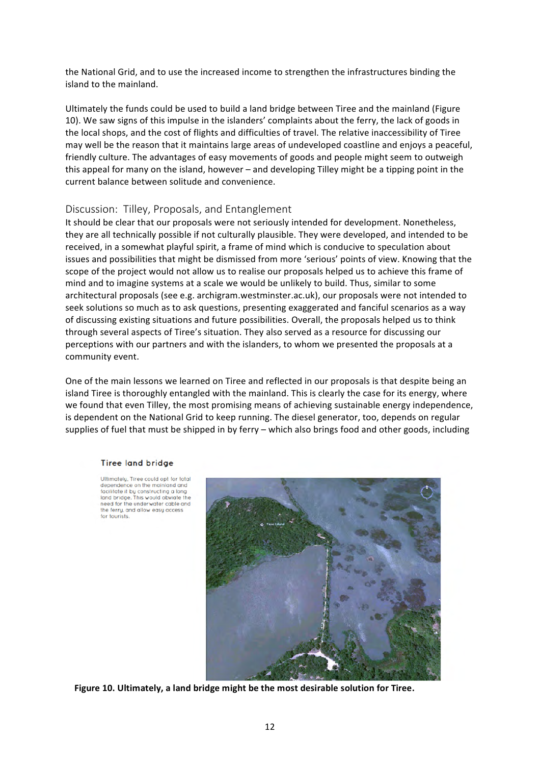the National Grid, and to use the increased income to strengthen the infrastructures binding the island to the mainland.

Ultimately the funds could be used to build a land bridge between Tiree and the mainland (Figure 10). We saw signs of this impulse in the islanders' complaints about the ferry, the lack of goods in the local shops, and the cost of flights and difficulties of travel. The relative inaccessibility of Tiree may well be the reason that it maintains large areas of undeveloped coastline and enjoys a peaceful, friendly culture. The advantages of easy movements of goods and people might seem to outweigh this appeal for many on the island, however  $-$  and developing Tilley might be a tipping point in the current balance between solitude and convenience.

## Discussion: Tilley, Proposals, and Entanglement

It should be clear that our proposals were not seriously intended for development. Nonetheless, they are all technically possible if not culturally plausible. They were developed, and intended to be received, in a somewhat playful spirit, a frame of mind which is conducive to speculation about issues and possibilities that might be dismissed from more 'serious' points of view. Knowing that the scope of the project would not allow us to realise our proposals helped us to achieve this frame of mind and to imagine systems at a scale we would be unlikely to build. Thus, similar to some architectural proposals (see e.g. archigram.westminster.ac.uk), our proposals were not intended to seek solutions so much as to ask questions, presenting exaggerated and fanciful scenarios as a way of discussing existing situations and future possibilities. Overall, the proposals helped us to think through several aspects of Tiree's situation. They also served as a resource for discussing our perceptions with our partners and with the islanders, to whom we presented the proposals at a community event.

One of the main lessons we learned on Tiree and reflected in our proposals is that despite being an island Tiree is thoroughly entangled with the mainland. This is clearly the case for its energy, where we found that even Tilley, the most promising means of achieving sustainable energy independence, is dependent on the National Grid to keep running. The diesel generator, too, depends on regular supplies of fuel that must be shipped in by ferry – which also brings food and other goods, including

#### **Tiree land bridge**

Ultimately, Tiree could opt for total<br>dependence on the mainland and facilitate it by constructing a long<br>land bridge. This would obviate the need for the underwater cable and the ferry, and allow easy access for tourists.



Figure 10. Ultimately, a land bridge might be the most desirable solution for Tiree.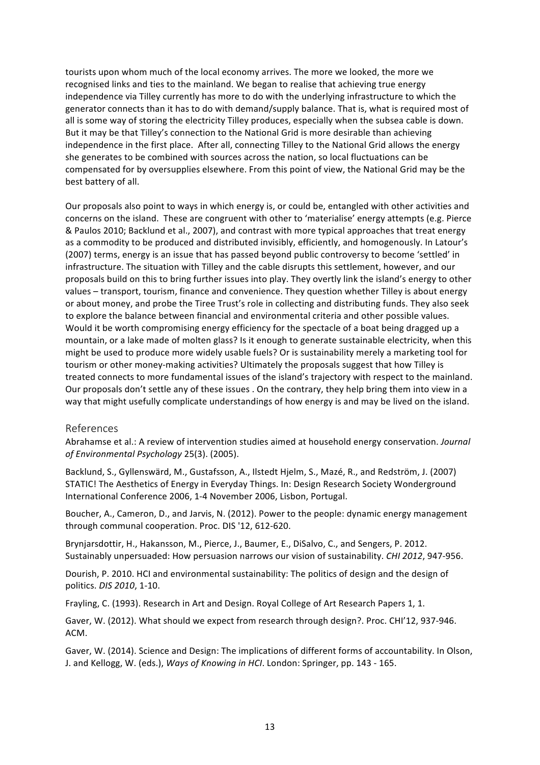tourists upon whom much of the local economy arrives. The more we looked, the more we recognised links and ties to the mainland. We began to realise that achieving true energy independence via Tilley currently has more to do with the underlying infrastructure to which the generator connects than it has to do with demand/supply balance. That is, what is required most of all is some way of storing the electricity Tilley produces, especially when the subsea cable is down. But it may be that Tilley's connection to the National Grid is more desirable than achieving independence in the first place. After all, connecting Tilley to the National Grid allows the energy she generates to be combined with sources across the nation, so local fluctuations can be compensated for by oversupplies elsewhere. From this point of view, the National Grid may be the best battery of all.

Our proposals also point to ways in which energy is, or could be, entangled with other activities and concerns on the island. These are congruent with other to 'materialise' energy attempts (e.g. Pierce & Paulos 2010; Backlund et al., 2007), and contrast with more typical approaches that treat energy as a commodity to be produced and distributed invisibly, efficiently, and homogenously. In Latour's (2007) terms, energy is an issue that has passed beyond public controversy to become 'settled' in infrastructure. The situation with Tilley and the cable disrupts this settlement, however, and our proposals build on this to bring further issues into play. They overtly link the island's energy to other values - transport, tourism, finance and convenience. They question whether Tilley is about energy or about money, and probe the Tiree Trust's role in collecting and distributing funds. They also seek to explore the balance between financial and environmental criteria and other possible values. Would it be worth compromising energy efficiency for the spectacle of a boat being dragged up a mountain, or a lake made of molten glass? Is it enough to generate sustainable electricity, when this might be used to produce more widely usable fuels? Or is sustainability merely a marketing tool for tourism or other money-making activities? Ultimately the proposals suggest that how Tilley is treated connects to more fundamental issues of the island's trajectory with respect to the mainland. Our proposals don't settle any of these issues . On the contrary, they help bring them into view in a way that might usefully complicate understandings of how energy is and may be lived on the island.

## References

Abrahamse et al.: A review of intervention studies aimed at household energy conservation. *Journal* of Environmental Psychology 25(3). (2005).

Backlund, S., Gyllenswärd, M., Gustafsson, A., Ilstedt Hjelm, S., Mazé, R., and Redström, J. (2007) STATIC! The Aesthetics of Energy in Everyday Things. In: Design Research Society Wonderground International Conference 2006, 1-4 November 2006, Lisbon, Portugal.

Boucher, A., Cameron, D., and Jarvis, N. (2012). Power to the people: dynamic energy management through communal cooperation. Proc. DIS '12, 612-620.

Brynjarsdottir, H., Hakansson, M., Pierce, J., Baumer, E., DiSalvo, C., and Sengers, P. 2012. Sustainably unpersuaded: How persuasion narrows our vision of sustainability. *CHI 2012*, 947-956.

Dourish, P. 2010. HCI and environmental sustainability: The politics of design and the design of politics. *DIS 2010*, 1-10.

Frayling, C. (1993). Research in Art and Design. Royal College of Art Research Papers 1, 1.

Gaver, W. (2012). What should we expect from research through design?. Proc. CHI'12, 937-946. ACM.

Gaver, W. (2014). Science and Design: The implications of different forms of accountability. In Olson, J. and Kellogg, W. (eds.), *Ways of Knowing in HCI*. London: Springer, pp. 143 - 165.